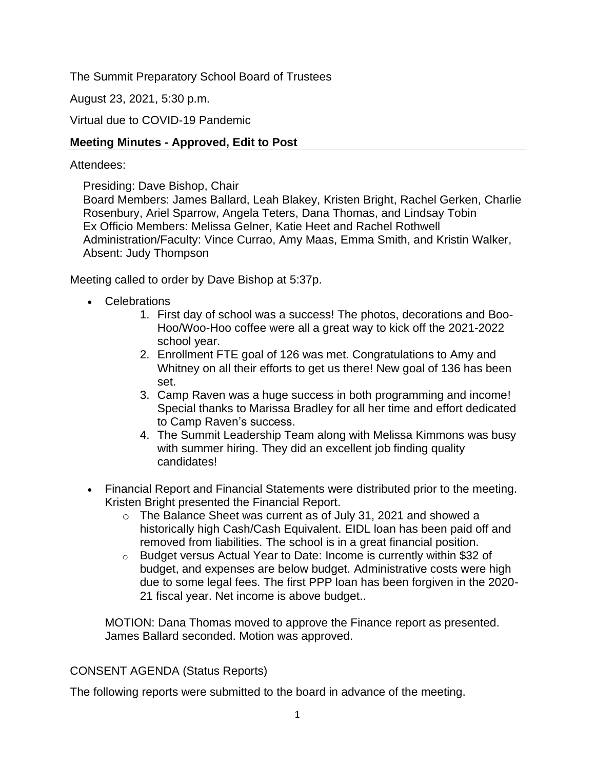The Summit Preparatory School Board of Trustees

August 23, 2021, 5:30 p.m.

Virtual due to COVID-19 Pandemic

## **Meeting Minutes - Approved, Edit to Post**

### Attendees:

Presiding: Dave Bishop, Chair

Board Members: James Ballard, Leah Blakey, Kristen Bright, Rachel Gerken, Charlie Rosenbury, Ariel Sparrow, Angela Teters, Dana Thomas, and Lindsay Tobin Ex Officio Members: Melissa Gelner, Katie Heet and Rachel Rothwell Administration/Faculty: Vince Currao, Amy Maas, Emma Smith, and Kristin Walker, Absent: Judy Thompson

Meeting called to order by Dave Bishop at 5:37p.

- Celebrations
	- 1. First day of school was a success! The photos, decorations and Boo-Hoo/Woo-Hoo coffee were all a great way to kick off the 2021-2022 school year.
	- 2. Enrollment FTE goal of 126 was met. Congratulations to Amy and Whitney on all their efforts to get us there! New goal of 136 has been set.
	- 3. Camp Raven was a huge success in both programming and income! Special thanks to Marissa Bradley for all her time and effort dedicated to Camp Raven's success.
	- 4. The Summit Leadership Team along with Melissa Kimmons was busy with summer hiring. They did an excellent job finding quality candidates!
- Financial Report and Financial Statements were distributed prior to the meeting. Kristen Bright presented the Financial Report.
	- o The Balance Sheet was current as of July 31, 2021 and showed a historically high Cash/Cash Equivalent. EIDL loan has been paid off and removed from liabilities. The school is in a great financial position.
	- o Budget versus Actual Year to Date: Income is currently within \$32 of budget, and expenses are below budget. Administrative costs were high due to some legal fees. The first PPP loan has been forgiven in the 2020- 21 fiscal year. Net income is above budget..

MOTION: Dana Thomas moved to approve the Finance report as presented. James Ballard seconded. Motion was approved.

## CONSENT AGENDA (Status Reports)

The following reports were submitted to the board in advance of the meeting.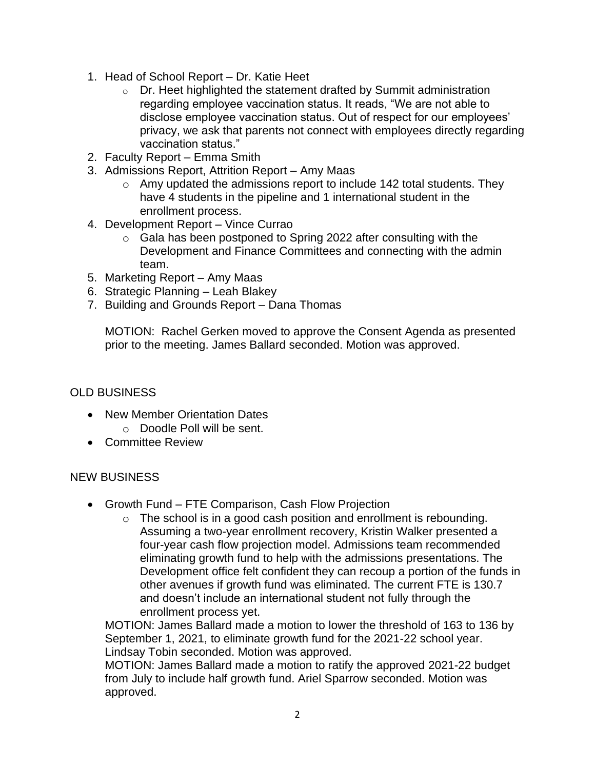- 1. Head of School Report Dr. Katie Heet
	- o Dr. Heet highlighted the statement drafted by Summit administration regarding employee vaccination status. It reads, "We are not able to disclose employee vaccination status. Out of respect for our employees' privacy, we ask that parents not connect with employees directly regarding vaccination status."
- 2. Faculty Report Emma Smith
- 3. Admissions Report, Attrition Report Amy Maas
	- $\circ$  Amy updated the admissions report to include 142 total students. They have 4 students in the pipeline and 1 international student in the enrollment process.
- 4. Development Report Vince Currao
	- o Gala has been postponed to Spring 2022 after consulting with the Development and Finance Committees and connecting with the admin team.
- 5. Marketing Report Amy Maas
- 6. Strategic Planning Leah Blakey
- 7. Building and Grounds Report Dana Thomas

MOTION: Rachel Gerken moved to approve the Consent Agenda as presented prior to the meeting. James Ballard seconded. Motion was approved.

# OLD BUSINESS

- New Member Orientation Dates
	- o Doodle Poll will be sent.
- Committee Review

## NEW BUSINESS

- Growth Fund FTE Comparison, Cash Flow Projection
	- $\circ$  The school is in a good cash position and enrollment is rebounding. Assuming a two-year enrollment recovery, Kristin Walker presented a four-year cash flow projection model. Admissions team recommended eliminating growth fund to help with the admissions presentations. The Development office felt confident they can recoup a portion of the funds in other avenues if growth fund was eliminated. The current FTE is 130.7 and doesn't include an international student not fully through the enrollment process yet.

MOTION: James Ballard made a motion to lower the threshold of 163 to 136 by September 1, 2021, to eliminate growth fund for the 2021-22 school year. Lindsay Tobin seconded. Motion was approved.

MOTION: James Ballard made a motion to ratify the approved 2021-22 budget from July to include half growth fund. Ariel Sparrow seconded. Motion was approved.